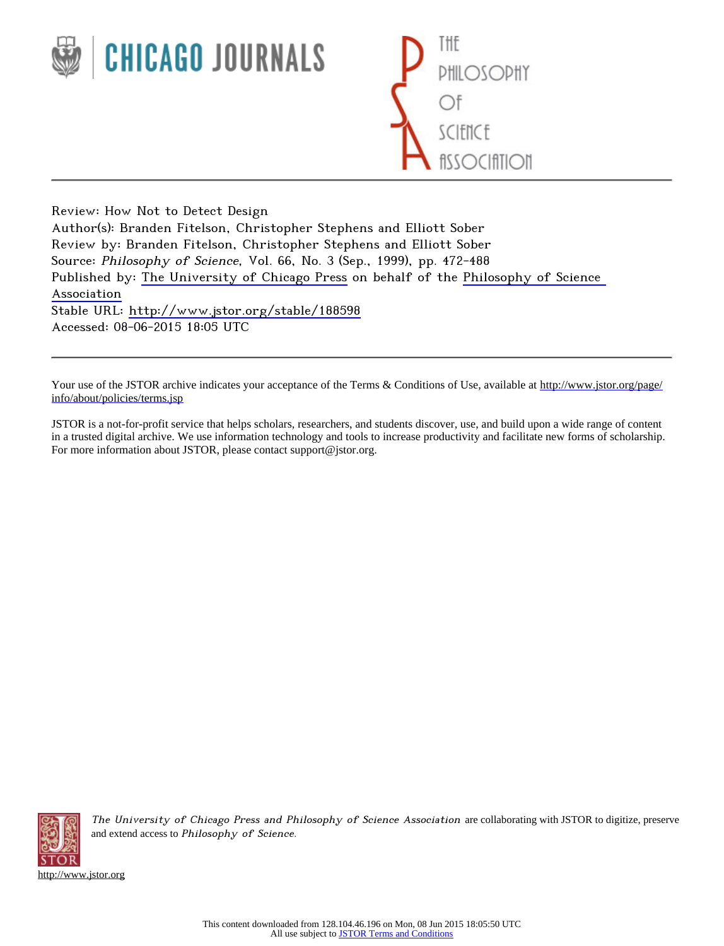



Review: How Not to Detect Design Author(s): Branden Fitelson, Christopher Stephens and Elliott Sober Review by: Branden Fitelson, Christopher Stephens and Elliott Sober Source: Philosophy of Science, Vol. 66, No. 3 (Sep., 1999), pp. 472-488 Published by: [The University of Chicago Press](http://www.jstor.org/action/showPublisher?publisherCode=ucpress) on behalf of the [Philosophy of Science](http://www.jstor.org/action/showPublisher?publisherCode=psa)  [Association](http://www.jstor.org/action/showPublisher?publisherCode=psa) Stable URL: <http://www.jstor.org/stable/188598> Accessed: 08-06-2015 18:05 UTC

Your use of the JSTOR archive indicates your acceptance of the Terms & Conditions of Use, available at [http://www.jstor.org/page/](http://www.jstor.org/page/info/about/policies/terms.jsp) [info/about/policies/terms.jsp](http://www.jstor.org/page/info/about/policies/terms.jsp)

JSTOR is a not-for-profit service that helps scholars, researchers, and students discover, use, and build upon a wide range of content in a trusted digital archive. We use information technology and tools to increase productivity and facilitate new forms of scholarship. For more information about JSTOR, please contact support@jstor.org.



The University of Chicago Press and Philosophy of Science Association are collaborating with JSTOR to digitize, preserve and extend access to Philosophy of Science.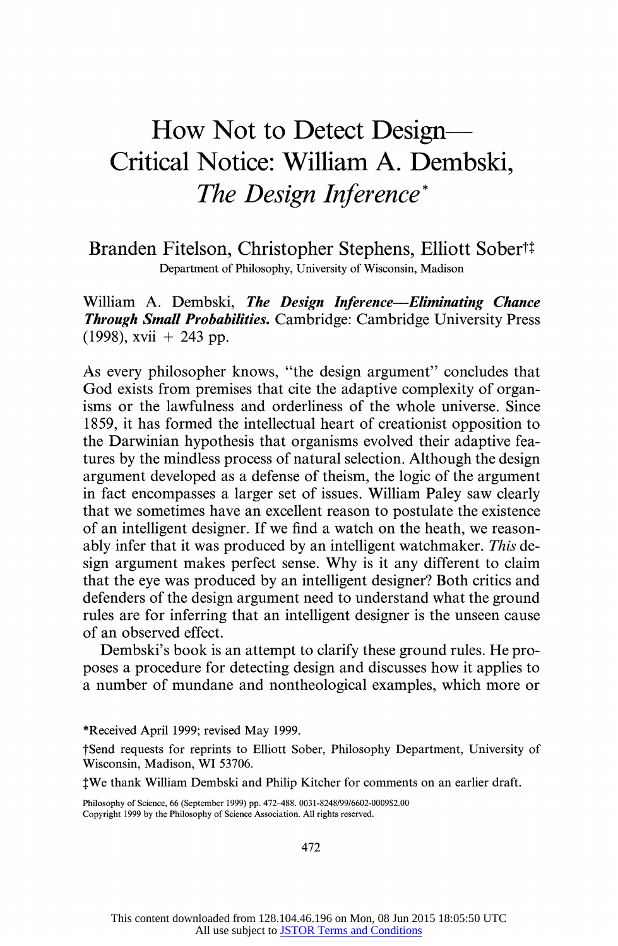# How Not to Detect Design— **Critical Notice: William A. Dembski, The Design Inference\***

## Branden Fitelson, Christopher Stephens, Elliott Sober<sup>t‡</sup> **Department of Philosophy, University of Wisconsin, Madison**

### **William A. Dembski, The Design Inference-Eliminating Chance Through Small Probabilities. Cambridge: Cambridge University Press (1998), xvii + 243 pp.**

**As every philosopher knows, "the design argument" concludes that God exists from premises that cite the adaptive complexity of organisms or the lawfulness and orderliness of the whole universe. Since 1859, it has formed the intellectual heart of creationist opposition to the Darwinian hypothesis that organisms evolved their adaptive features by the mindless process of natural selection. Although the design argument developed as a defense of theism, the logic of the argument in fact encompasses a larger set of issues. William Paley saw clearly that we sometimes have an excellent reason to postulate the existence of an intelligent designer. If we find a watch on the heath, we reasonably infer that it was produced by an intelligent watchmaker. This design argument makes perfect sense. Why is it any different to claim that the eye was produced by an intelligent designer? Both critics and defenders of the design argument need to understand what the ground rules are for inferring that an intelligent designer is the unseen cause of an observed effect.** 

**Dembski's book is an attempt to clarify these ground rules. He proposes a procedure for detecting design and discusses how it applies to a number of mundane and nontheological examples, which more or** 

**\*Received April 1999; revised May 1999.** 

**tSend requests for reprints to Elliott Sober, Philosophy Department, University of Wisconsin, Madison, WI 53706.** 

**lWe thank William Dembski and Philip Kitcher for comments on an earlier draft.** 

**Philosophy of Science, 66 (September 1999) pp. 472-488. 0031-8248/99/6602-0009\$2.00 Copyright 1999 by the Philosophy of Science Association. All rights reserved.**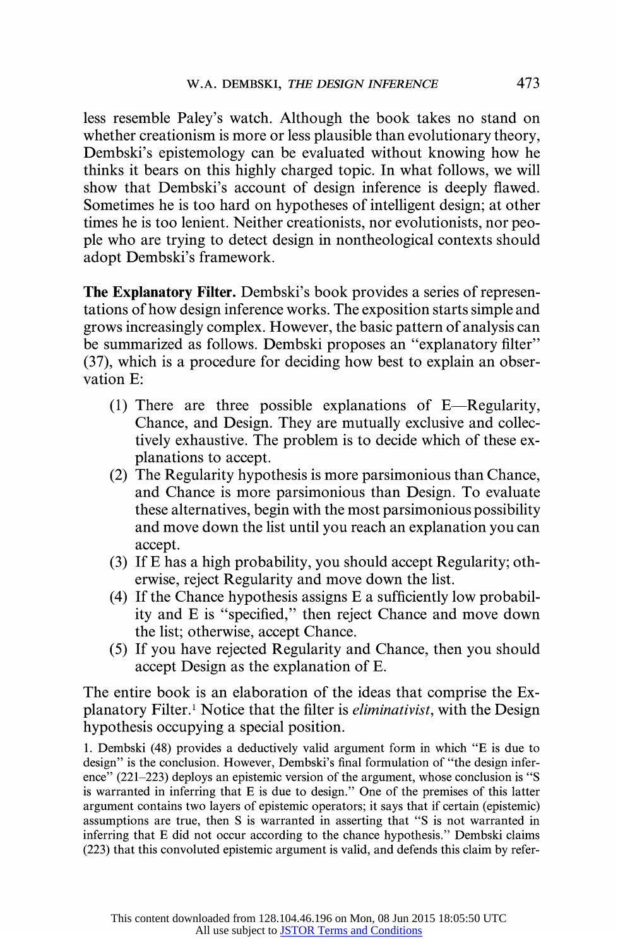**less resemble Paley's watch. Although the book takes no stand on whether creationism is more or less plausible than evolutionary theory, Dembski's epistemology can be evaluated without knowing how he thinks it bears on this highly charged topic. In what follows, we will show that Dembski's account of design inference is deeply flawed. Sometimes he is too hard on hypotheses of intelligent design; at other times he is too lenient. Neither creationists, nor evolutionists, nor people who are trying to detect design in nontheological contexts should adopt Dembski's framework.** 

**The Explanatory Filter. Dembski's book provides a series of representations of how design inference works. The exposition starts simple and grows increasingly complex. However, the basic pattern of analysis can be summarized as follows. Dembski proposes an "explanatory filter" (37), which is a procedure for deciding how best to explain an observation E:** 

- **(1) There are three possible explanations of E Regularity, Chance, and Design. They are mutually exclusive and collectively exhaustive. The problem is to decide which of these explanations to accept.**
- **(2) The Regularity hypothesis is more parsimonious than Chance, and Chance is more parsimonious than Design. To evaluate these alternatives, begin with the most parsimonious possibility and move down the list until you reach an explanation you can accept.**
- **(3) If E has a high probability, you should accept Regularity; otherwise, reject Regularity and move down the list.**
- **(4) If the Chance hypothesis assigns E a sufficiently low probability and E is "specified," then reject Chance and move down the list; otherwise, accept Chance.**
- **(5) If you have rejected Regularity and Chance, then you should accept Design as the explanation of E.**

**The entire book is an elaboration of the ideas that comprise the Explanatory Filter.' Notice that the filter is eliminativist, with the Design hypothesis occupying a special position.** 

**1. Dembski (48) provides a deductively valid argument form in which "E is due to design" is the conclusion. However, Dembski's final formulation of "the design inference" (221-223) deploys an epistemic version of the argument, whose conclusion is "S is warranted in inferring that E is due to design." One of the premises of this latter argument contains two layers of epistemic operators; it says that if certain (epistemic) assumptions are true, then S is warranted in asserting that "S is not warranted in inferring that E did not occur according to the chance hypothesis." Dembski claims (223) that this convoluted epistemic argument is valid, and defends this claim by refer-**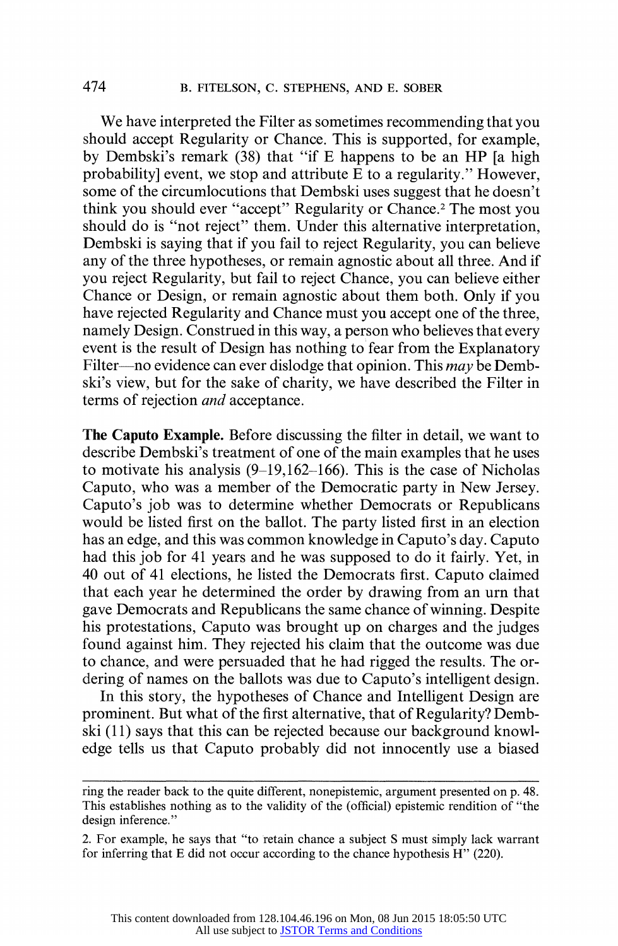**We have interpreted the Filter as sometimes recommending that you should accept Regularity or Chance. This is supported, for example, by Dembski's remark (38) that "if E happens to be an HP [a high probability] event, we stop and attribute E to a regularity." However, some of the circumlocutions that Dembski uses suggest that he doesn't think you should ever "accept" Regularity or Chance.2 The most you should do is "not reject" them. Under this alternative interpretation, Dembski is saying that if you fail to reject Regularity, you can believe any of the three hypotheses, or remain agnostic about all three. And if you reject Regularity, but fail to reject Chance, you can believe either Chance or Design, or remain agnostic about them both. Only if you have rejected Regularity and Chance must you accept one of the three, namely Design. Construed in this way, a person who believes that every event is the result of Design has nothing to fear from the Explanatory**  Filter—no evidence can ever dislodge that opinion. This *may* be Demb**ski's view, but for the sake of charity, we have described the Filter in terms of rejection and acceptance.** 

**The Caputo Example. Before discussing the filter in detail, we want to describe Dembski's treatment of one of the main examples that he uses to motivate his analysis (9-19,162-166). This is the case of Nicholas Caputo, who was a member of the Democratic party in New Jersey. Caputo's job was to determine whether Democrats or Republicans would be listed first on the ballot. The party listed first in an election has an edge, and this was common knowledge in Caputo's day. Caputo had this job for 41 years and he was supposed to do it fairly. Yet, in 40 out of 41 elections, he listed the Democrats first. Caputo claimed that each year he determined the order by drawing from an urn that gave Democrats and Republicans the same chance of winning. Despite his protestations, Caputo was brought up on charges and the judges found against him. They rejected his claim that the outcome was due to chance, and were persuaded that he had rigged the results. The ordering of names on the ballots was due to Caputo's intelligent design.** 

**In this story, the hypotheses of Chance and Intelligent Design are prominent. But what of the first alternative, that of Regularity? Demb**ski (11) says that this can be rejected because our background knowl**edge tells us that Caputo probably did not innocently use a biased** 

**ring the reader back to the quite different, nonepistemic, argument presented on p. 48. This establishes nothing as to the validity of the (official) epistemic rendition of "the design inference."** 

**<sup>2.</sup> For example, he says that "to retain chance a subject S must simply lack warrant for inferring that E did not occur according to the chance hypothesis H" (220).**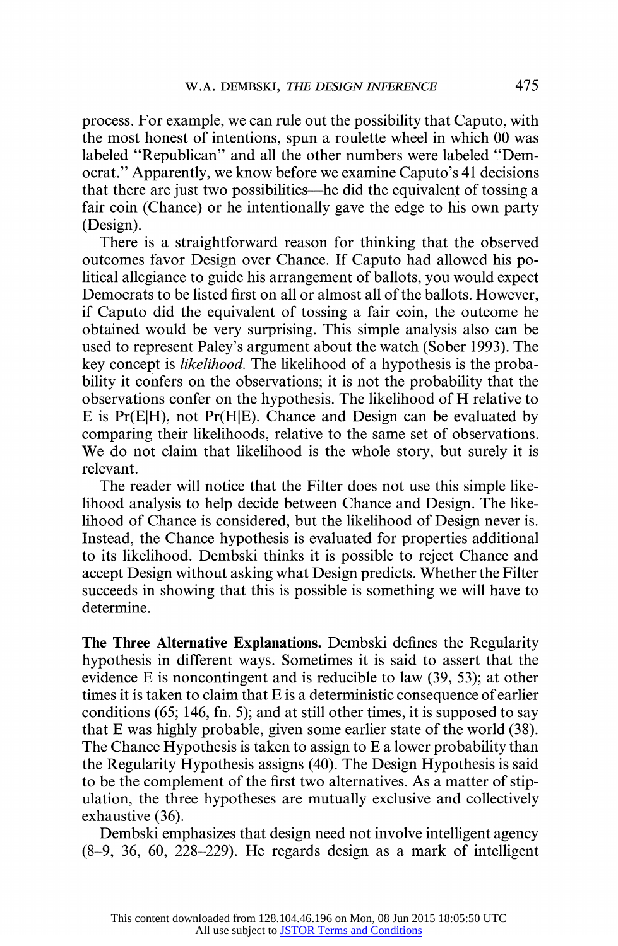**process. For example, we can rule out the possibility that Caputo, with the most honest of intentions, spun a roulette wheel in which 00 was labeled "Republican" and all the other numbers were labeled "Democrat." Apparently, we know before we examine Caputo's 41 decisions**  that there are just two possibilities—he did the equivalent of tossing a **fair coin (Chance) or he intentionally gave the edge to his own party (Design).** 

**There is a straightforward reason for thinking that the observed outcomes favor Design over Chance. If Caputo had allowed his political allegiance to guide his arrangement of ballots, you would expect Democrats to be listed first on all or almost all of the ballots. However, if Caputo did the equivalent of tossing a fair coin, the outcome he obtained would be very surprising. This simple analysis also can be used to represent Paley's argument about the watch (Sober 1993). The key concept is likelihood. The likelihood of a hypothesis is the probability it confers on the observations; it is not the probability that the observations confer on the hypothesis. The likelihood of H relative to E is Pr(EIH), not Pr(HIE). Chance and Design can be evaluated by comparing their likelihoods, relative to the same set of observations. We do not claim that likelihood is the whole story, but surely it is relevant.** 

**The reader will notice that the Filter does not use this simple likelihood analysis to help decide between Chance and Design. The likelihood of Chance is considered, but the likelihood of Design never is. Instead, the Chance hypothesis is evaluated for properties additional to its likelihood. Dembski thinks it is possible to reject Chance and accept Design without asking what Design predicts. Whether the Filter succeeds in showing that this is possible is something we will have to determine.** 

**The Three Alternative Explanations. Dembski defines the Regularity hypothesis in different ways. Sometimes it is said to assert that the evidence E is noncontingent and is reducible to law (39, 53); at other times it is taken to claim that E is a deterministic consequence of earlier conditions (65; 146, fn. 5); and at still other times, it is supposed to say that E was highly probable, given some earlier state of the world (38). The Chance Hypothesis is taken to assign to E a lower probability than the Regularity Hypothesis assigns (40). The Design Hypothesis is said to be the complement of the first two alternatives. As a matter of stipulation, the three hypotheses are mutually exclusive and collectively exhaustive (36).** 

**Dembski emphasizes that design need not involve intelligent agency (8-9, 36, 60, 228-229). He regards design as a mark of intelligent**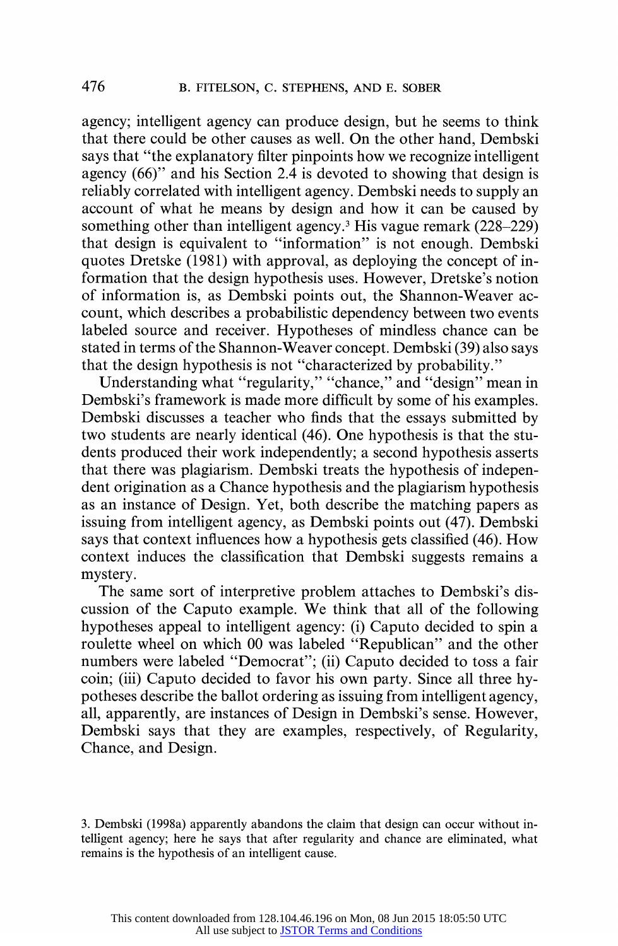**agency; intelligent agency can produce design, but he seems to think that there could be other causes as well. On the other hand, Dembski says that "the explanatory filter pinpoints how we recognize intelligent agency (66)" and his Section 2.4 is devoted to showing that design is reliably correlated with intelligent agency. Dembski needs to supply an account of what he means by design and how it can be caused by something other than intelligent agency.3 His vague remark (228-229) that design is equivalent to "information" is not enough. Dembski quotes Dretske (1981) with approval, as deploying the concept of information that the design hypothesis uses. However, Dretske's notion of information is, as Dembski points out, the Shannon-Weaver account, which describes a probabilistic dependency between two events labeled source and receiver. Hypotheses of mindless chance can be stated in terms of the Shannon-Weaver concept. Dembski (39) also says that the design hypothesis is not "characterized by probability."** 

**Understanding what "regularity," "chance," and "design" mean in Dembski's framework is made more difficult by some of his examples. Dembski discusses a teacher who finds that the essays submitted by two students are nearly identical (46). One hypothesis is that the students produced their work independently; a second hypothesis asserts that there was plagiarism. Dembski treats the hypothesis of independent origination as a Chance hypothesis and the plagiarism hypothesis as an instance of Design. Yet, both describe the matching papers as issuing from intelligent agency, as Dembski points out (47). Dembski says that context influences how a hypothesis gets classified (46). How context induces the classification that Dembski suggests remains a mystery.** 

**The same sort of interpretive problem attaches to Dembski's discussion of the Caputo example. We think that all of the following hypotheses appeal to intelligent agency: (i) Caputo decided to spin a roulette wheel on which 00 was labeled "Republican" and the other numbers were labeled "Democrat"; (ii) Caputo decided to toss a fair coin; (iii) Caputo decided to favor his own party. Since all three hypotheses describe the ballot ordering as issuing from intelligent agency, all, apparently, are instances of Design in Dembski's sense. However, Dembski says that they are examples, respectively, of Regularity, Chance, and Design.** 

**<sup>3.</sup> Dembski (1998a) apparently abandons the claim that design can occur without intelligent agency; here he says that after regularity and chance are eliminated, what remains is the hypothesis of an intelligent cause.**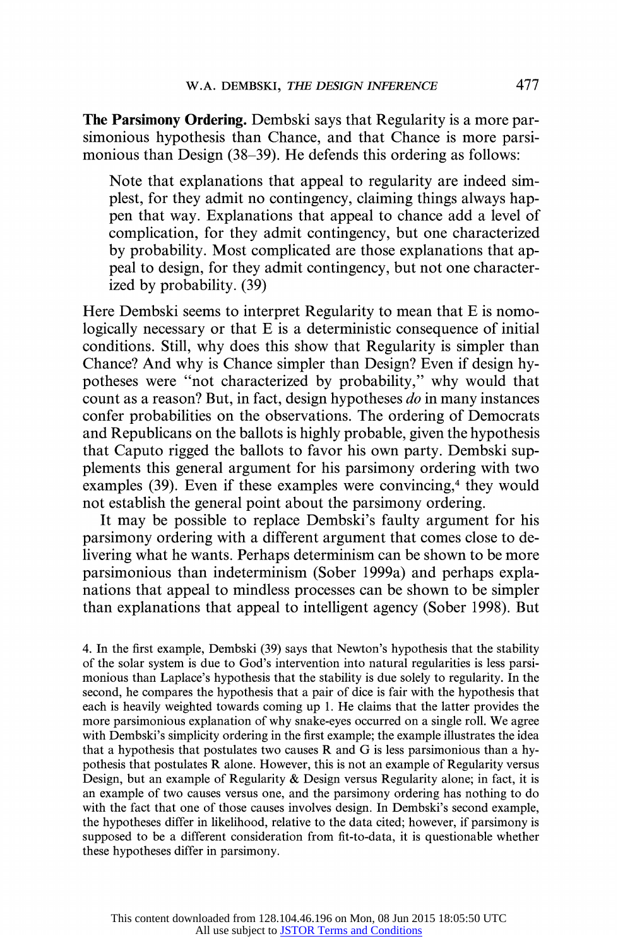**The Parsimony Ordering. Dembski says that Regularity is a more parsimonious hypothesis than Chance, and that Chance is more parsimonious than Design (38-39). He defends this ordering as follows:** 

**Note that explanations that appeal to regularity are indeed simplest, for they admit no contingency, claiming things always happen that way. Explanations that appeal to chance add a level of complication, for they admit contingency, but one characterized by probability. Most complicated are those explanations that appeal to design, for they admit contingency, but not one characterized by probability. (39)** 

**Here Dembski seems to interpret Regularity to mean that E is nomologically necessary or that E is a deterministic consequence of initial conditions. Still, why does this show that Regularity is simpler than Chance? And why is Chance simpler than Design? Even if design hypotheses were "not characterized by probability," why would that count as a reason? But, in fact, design hypotheses do in many instances confer probabilities on the observations. The ordering of Democrats and Republicans on the ballots is highly probable, given the hypothesis that Caputo rigged the ballots to favor his own party. Dembski supplements this general argument for his parsimony ordering with two**  examples (39). Even if these examples were convincing,<sup>4</sup> they would **not establish the general point about the parsimony ordering.** 

**It may be possible to replace Dembski's faulty argument for his parsimony ordering with a different argument that comes close to delivering what he wants. Perhaps determinism can be shown to be more parsimonious than indeterminism (Sober 1999a) and perhaps explanations that appeal to mindless processes can be shown to be simpler than explanations that appeal to intelligent agency (Sober 1998). But** 

**4. In the first example, Dembski (39) says that Newton's hypothesis that the stability of the solar system is due to God's intervention into natural regularities is less parsimonious than Laplace's hypothesis that the stability is due solely to regularity. In the second, he compares the hypothesis that a pair of dice is fair with the hypothesis that each is heavily weighted towards coming up 1. He claims that the latter provides the more parsimonious explanation of why snake-eyes occurred on a single roll. We agree with Dembski's simplicity ordering in the first example; the example illustrates the idea that a hypothesis that postulates two causes R and G is less parsimonious than a hypothesis that postulates R alone. However, this is not an example of Regularity versus Design, but an example of Regularity & Design versus Regularity alone; in fact, it is an example of two causes versus one, and the parsimony ordering has nothing to do with the fact that one of those causes involves design. In Dembski's second example, the hypotheses differ in likelihood, relative to the data cited; however, if parsimony is supposed to be a different consideration from fit-to-data, it is questionable whether these hypotheses differ in parsimony.**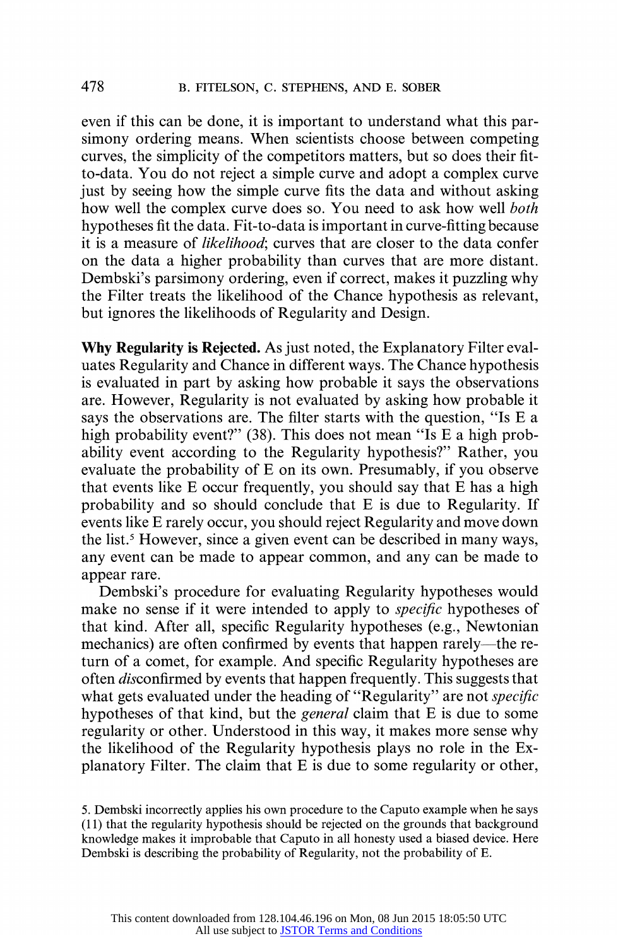**even if this can be done, it is important to understand what this parsimony ordering means. When scientists choose between competing curves, the simplicity of the competitors matters, but so does their fitto-data. You do not reject a simple curve and adopt a complex curve just by seeing how the simple curve fits the data and without asking how well the complex curve does so. You need to ask how well both hypotheses fit the data. Fit-to-data is important in curve-fitting because it is a measure of likelihood; curves that are closer to the data confer on the data a higher probability than curves that are more distant. Dembski's parsimony ordering, even if correct, makes it puzzling why the Filter treats the likelihood of the Chance hypothesis as relevant, but ignores the likelihoods of Regularity and Design.** 

**Why Regularity is Rejected. As just noted, the Explanatory Filter evaluates Regularity and Chance in different ways. The Chance hypothesis is evaluated in part by asking how probable it says the observations are. However, Regularity is not evaluated by asking how probable it says the observations are. The filter starts with the question, "Is E a high probability event?" (38). This does not mean "Is E a high probability event according to the Regularity hypothesis?" Rather, you evaluate the probability of E on its own. Presumably, if you observe that events like E occur frequently, you should say that E has a high probability and so should conclude that E is due to Regularity. If events like E rarely occur, you should reject Regularity and move down the list.5 However, since a given event can be described in many ways, any event can be made to appear common, and any can be made to appear rare.** 

**Dembski's procedure for evaluating Regularity hypotheses would make no sense if it were intended to apply to specific hypotheses of that kind. After all, specific Regularity hypotheses (e.g., Newtonian**  mechanics) are often confirmed by events that happen rarely—the re**turn of a comet, for example. And specific Regularity hypotheses are often disconfirmed by events that happen frequently. This suggests that what gets evaluated under the heading of "Regularity" are not specific hypotheses of that kind, but the general claim that E is due to some regularity or other. Understood in this way, it makes more sense why the likelihood of the Regularity hypothesis plays no role in the Explanatory Filter. The claim that E is due to some regularity or other,** 

**<sup>5.</sup> Dembski incorrectly applies his own procedure to the Caputo example when he says (11) that the regularity hypothesis should be rejected on the grounds that background knowledge makes it improbable that Caputo in all honesty used a biased device. Here Dembski is describing the probability of Regularity, not the probability of E.**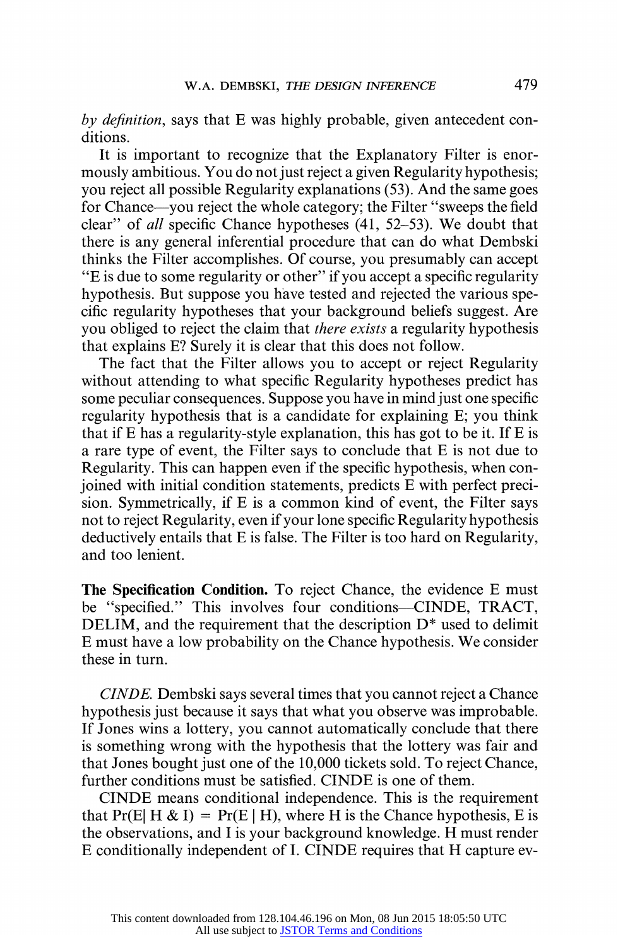**by definition, says that E was highly probable, given antecedent conditions.** 

**It is important to recognize that the Explanatory Filter is enormously ambitious. You do not just reject a given Regularity hypothesis; you reject all possible Regularity explanations (53). And the same goes for Chance you reject the whole category; the Filter "sweeps the field clear" of all specific Chance hypotheses (41, 52-53). We doubt that there is any general inferential procedure that can do what Dembski thinks the Filter accomplishes. Of course, you presumably can accept "E is due to some regularity or other" if you accept a specific regularity hypothesis. But suppose you have tested and rejected the various specific regularity hypotheses that your background beliefs suggest. Are you obliged to reject the claim that there exists a regularity hypothesis that explains E? Surely it is clear that this does not follow.** 

**The fact that the Filter allows you to accept or reject Regularity without attending to what specific Regularity hypotheses predict has some peculiar consequences. Suppose you have in mind just one specific regularity hypothesis that is a candidate for explaining E; you think that if E has a regularity-style explanation, this has got to be it. If E is a rare type of event, the Filter says to conclude that E is not due to Regularity. This can happen even if the specific hypothesis, when conjoined with initial condition statements, predicts E with perfect precision. Symmetrically, if E is a common kind of event, the Filter says not to reject Regularity, even if your lone specific Regularity hypothesis deductively entails that E is false. The Filter is too hard on Regularity, and too lenient.** 

**The Specification Condition. To reject Chance, the evidence E must**  be "specified." This involves four conditions—CINDE, TRACT, **DELIM, and the requirement that the description D\* used to delimit E must have a low probability on the Chance hypothesis. We consider these in turn.** 

**CINDE. Dembski says several times that you cannot reject a Chance hypothesis just because it says that what you observe was improbable. If Jones wins a lottery, you cannot automatically conclude that there is something wrong with the hypothesis that the lottery was fair and that Jones bought just one of the 10,000 tickets sold. To reject Chance, further conditions must be satisfied. CINDE is one of them.** 

**CINDE means conditional independence. This is the requirement**  that  $Pr(E|H \& I) = Pr(E|H)$ , where H is the Chance hypothesis, E is **the observations, and I is your background knowledge. H must render E conditionally independent of I. CINDE requires that H capture ev-**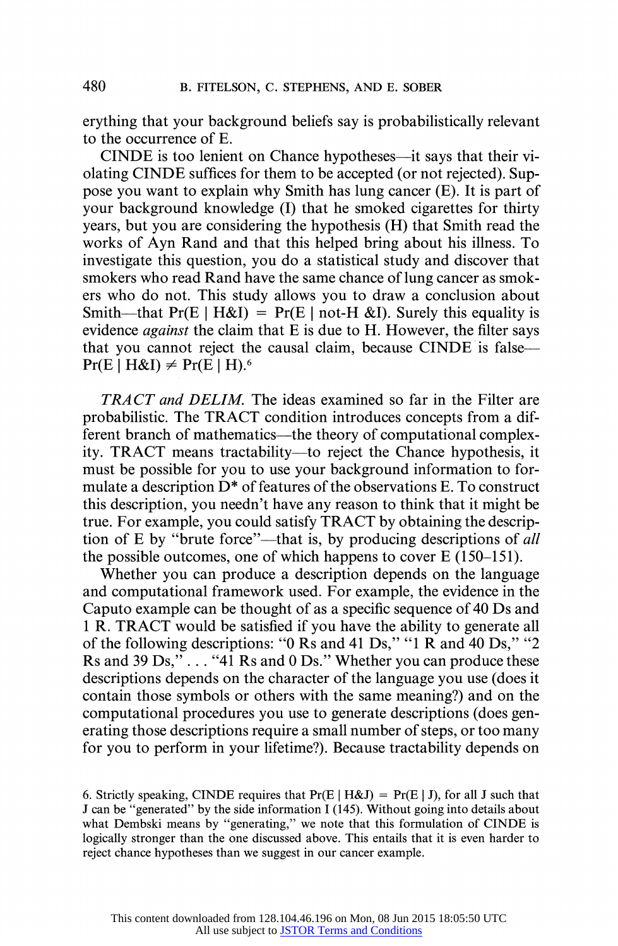**erything that your background beliefs say is probabilistically relevant to the occurrence of E.** 

**CINDE is too lenient on Chance hypotheses-it says that their violating CINDE suffices for them to be accepted (or not rejected). Suppose you want to explain why Smith has lung cancer (E). It is part of your background knowledge (I) that he smoked cigarettes for thirty years, but you are considering the hypothesis (H) that Smith read the works of Ayn Rand and that this helped bring about his illness. To investigate this question, you do a statistical study and discover that smokers who read Rand have the same chance of lung cancer as smokers who do not. This study allows you to draw a conclusion about Smith—that Pr(E | H&I) = Pr(E | not-H &I). Surely this equality is evidence against the claim that E is due to H. However, the filter says that you cannot reject the causal claim, because CINDE is false-** $Pr(E | H&\&I) \neq Pr(E | H).6$ 

**TRACT and DELIM. The ideas examined so far in the Filter are probabilistic. The TRACT condition introduces concepts from a dif**ferent branch of mathematics—the theory of computational complexity. TRACT means tractability—to reject the Chance hypothesis, it **must be possible for you to use your background information to formulate a description D\* of features of the observations E. To construct this description, you needn't have any reason to think that it might be true. For example, you could satisfy TRACT by obtaining the descrip**tion of E by "brute force"—that is, by producing descriptions of all **the possible outcomes, one of which happens to cover E (150-151).** 

**Whether you can produce a description depends on the language and computational framework used. For example, the evidence in the Caputo example can be thought of as a specific sequence of 40 Ds and 1 R. TRACT would be satisfied if you have the ability to generate all of the following descriptions: "0 Rs and 41 Ds," ".1 R and 40 Ds," "2 Rs and 39 Ds," . . . "41 Rs and 0 Ds." Whether you can produce these descriptions depends on the character of the language you use (does it contain those symbols or others with the same meaning?) and on the computational procedures you use to generate descriptions (does generating those descriptions require a small number of steps, or too many for you to perform in your lifetime?). Because tractability depends on** 

<sup>6.</sup> Strictly speaking, CINDE requires that  $Pr(E | H&J) = Pr(E | J)$ , for all J such that **J can be "generated" by the side information 1 (145). Without going into details about what Dembski means by "generating," we note that this formulation of CINDE is logically stronger than the one discussed above. This entails that it is even harder to reject chance hypotheses than we suggest in our cancer example.**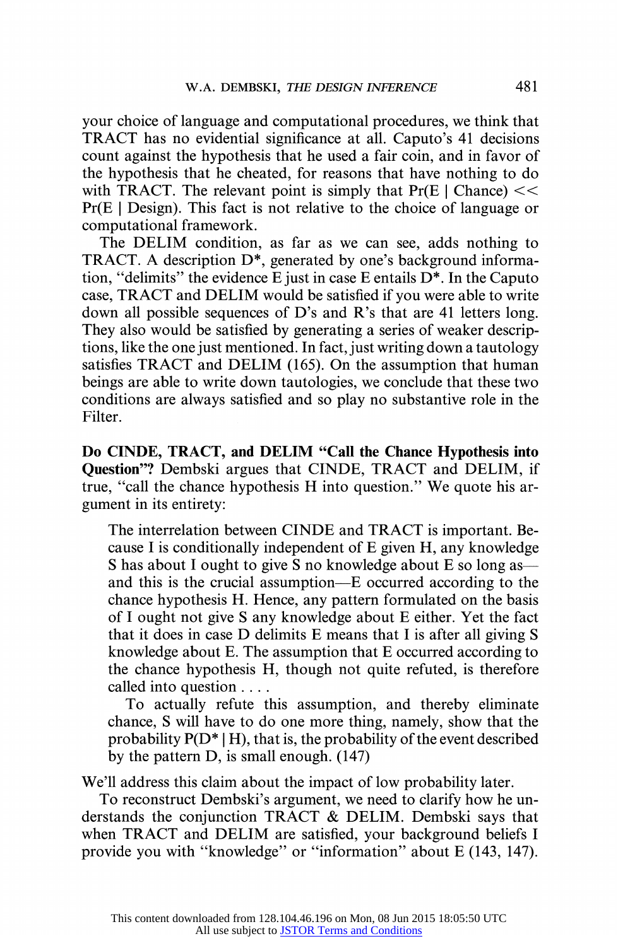**your choice of language and computational procedures, we think that TRACT has no evidential significance at all. Caputo's 41 decisions count against the hypothesis that he used a fair coin, and in favor of the hypothesis that he cheated, for reasons that have nothing to do**  with TRACT. The relevant point is simply that  $Pr(E | \text{Change})$  << **Pr(E I Design). This fact is not relative to the choice of language or computational framework.** 

**The DELIM condition, as far as we can see, adds nothing to TRACT. A description D\*, generated by one's background information, "delimits" the evidence E just in case E entails D\*. In the Caputo case, TRACT and DELIM would be satisfied if you were able to write down all possible sequences of D's and R's that are 41 letters long. They also would be satisfied by generating a series of weaker descriptions, like the one just mentioned. In fact, just writing down a tautology satisfies TRACT and DELIM (165). On the assumption that human beings are able to write down tautologies, we conclude that these two conditions are always satisfied and so play no substantive role in the Filter.** 

**Do CINDE, TRACT, and DELIM "Call the Chance Hypothesis into Question"? Dembski argues that CINDE, TRACT and DELIM, if true, "call the chance hypothesis H into question." We quote his argument in its entirety:** 

**The interrelation between CINDE and TRACT is important. Because I is conditionally independent of E given H, any knowledge S has about I ought to give S no knowledge about E so long as**and this is the crucial assumption—E occurred according to the **chance hypothesis H. Hence, any pattern formulated on the basis of I ought not give S any knowledge about E either. Yet the fact that it does in case D delimits E means that I is after all giving S knowledge about E. The assumption that E occurred according to the chance hypothesis H, though not quite refuted, is therefore called into question ....** 

**To actually refute this assumption, and thereby eliminate chance, S will have to do one more thing, namely, show that the**  probability  $P(D^* | H)$ , that is, the probability of the event described **by the pattern D, is small enough. (147)** 

**We'll address this claim about the impact of low probability later.** 

**To reconstruct Dembski's argument, we need to clarify how he understands the conjunction TRACT & DELIM. Dembski says that when TRACT and DELIM are satisfied, your background beliefs I provide you with "knowledge" or "information" about E (143, 147).**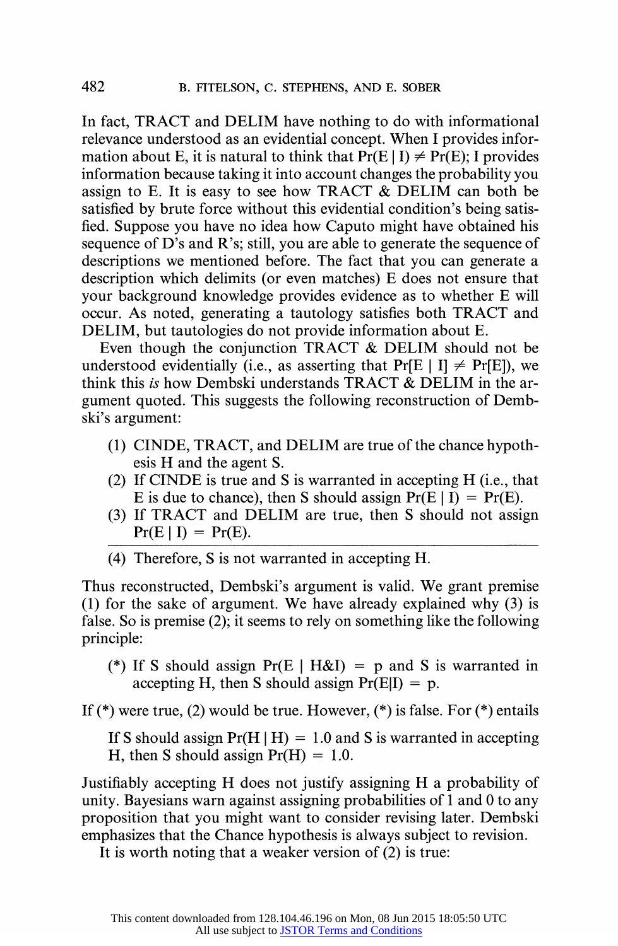**In fact, TRACT and DELIM have nothing to do with informational relevance understood as an evidential concept. When I provides information about E, it is natural to think that**  $Pr(E | I) \neq Pr(E)$ **; I provides information because taking it into account changes the probability you assign to E. It is easy to see how TRACT & DELIM can both be satisfied by brute force without this evidential condition's being satisfied. Suppose you have no idea how Caputo might have obtained his sequence of D's and R's; still, you are able to generate the sequence of descriptions we mentioned before. The fact that you can generate a description which delimits (or even matches) E does not ensure that your background knowledge provides evidence as to whether E will occur. As noted, generating a tautology satisfies both TRACT and DELIM, but tautologies do not provide information about E.** 

**Even though the conjunction TRACT & DELIM should not be**  understood evidentially (i.e., as asserting that  $Pr[E | I] \neq Pr[E]$ ), we **think this is how Dembski understands TRACT & DELIM in the argument quoted. This suggests the following reconstruction of Dembski's argument:** 

- **(1) CINDE, TRACT, and DELIM are true of the chance hypothesis H and the agent S.**
- **(2) If CINDE is true and S is warranted in accepting H (i.e., that E** is due to chance), then S should assign  $Pr(E | I) = Pr(E)$ .
- **(3) If TRACT and DELIM are true, then S should not assign**   $Pr(E | I) = Pr(E)$ .
- **(4) Therefore, S is not warranted in accepting H.**

**Thus reconstructed, Dembski's argument is valid. We grant premise (1) for the sake of argument. We have already explained why (3) is false. So is premise (2); it seems to rely on something like the following principle:** 

(\*) If S should assign  $Pr(E | H&I) = p$  and S is warranted in accepting H, then S should assign  $Pr(E|I) = p$ .

**If (\*) were true, (2) would be true. However, (\*) is false. For (\*) entails** 

If S should assign  $Pr(H | H) = 1.0$  and S is warranted in accepting **H**, then S should assign  $Pr(H) = 1.0$ .

**Justifiably accepting H does not justify assigning H a probability of unity. Bayesians warn against assigning probabilities of 1 and 0 to any proposition that you might want to consider revising later. Dembski emphasizes that the Chance hypothesis is always subject to revision.** 

**It is worth noting that a weaker version of (2) is true:**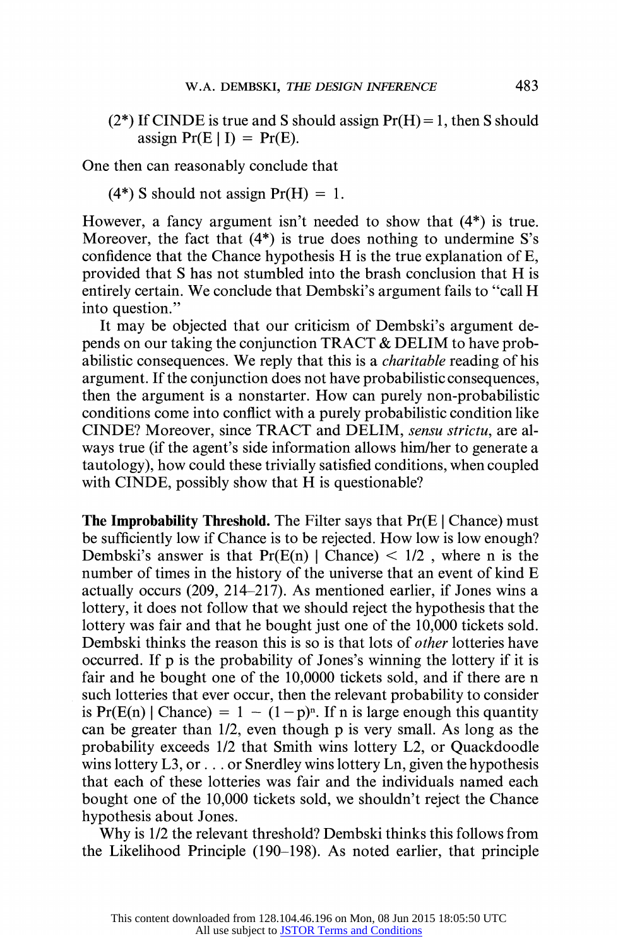#### **(2\*) If CINDE is true and S should assign Pr(H) = 1, then S should**   $\text{assign } \Pr(E | I) = \Pr(E)$ .

**One then can reasonably conclude that** 

 $(4^*)$  S should not assign  $Pr(H) = 1$ .

**However, a fancy argument isn't needed to show that (4\*) is true. Moreover, the fact that (4\*) is true does nothing to undermine S's confidence that the Chance hypothesis H is the true explanation of E, provided that S has not stumbled into the brash conclusion that H is entirely certain. We conclude that Dembski's argument fails to "call H into question."** 

**It may be objected that our criticism of Dembski's argument depends on our taking the conjunction TRACT & DELIM to have probabilistic consequences. We reply that this is a charitable reading of his argument. If the conjunction does not have probabilistic consequences, then the argument is a nonstarter. How can purely non-probabilistic conditions come into conflict with a purely probabilistic condition like CINDE? Moreover, since TRACT and DELIM, sensu strictu, are always true (if the agent's side information allows him/her to generate a tautology), how could these trivially satisfied conditions, when coupled with CINDE, possibly show that H is questionable?** 

**The Improbability Threshold.** The Filter says that  $Pr(E | \text{Change})$  must **be sufficiently low if Chance is to be rejected. How low is low enough? Dembski's answer is that**  $Pr(E(n) | \text{Change}) < 1/2$ **, where n is the number of times in the history of the universe that an event of kind E actually occurs (209, 214-217). As mentioned earlier, if Jones wins a lottery, it does not follow that we should reject the hypothesis that the lottery was fair and that he bought just one of the 10,000 tickets sold. Dembski thinks the reason this is so is that lots of other lotteries have occurred. If p is the probability of Jones's winning the lottery if it is fair and he bought one of the 10,0000 tickets sold, and if there are n such lotteries that ever occur, then the relevant probability to consider**  is  $Pr(E(n) | \text{Change}) = 1 - (1-p)^n$ . If n is large enough this quantity **can be greater than 1/2, even though p is very small. As long as the probability exceeds 1/2 that Smith wins lottery L2, or Quackdoodle wins lottery L3, or ... or Snerdley wins lottery Ln, given the hypothesis that each of these lotteries was fair and the individuals named each bought one of the 10,000 tickets sold, we shouldn't reject the Chance hypothesis about Jones.** 

**Why is 1/2 the relevant threshold? Dembski thinks this follows from the Likelihood Principle (190-198). As noted earlier, that principle**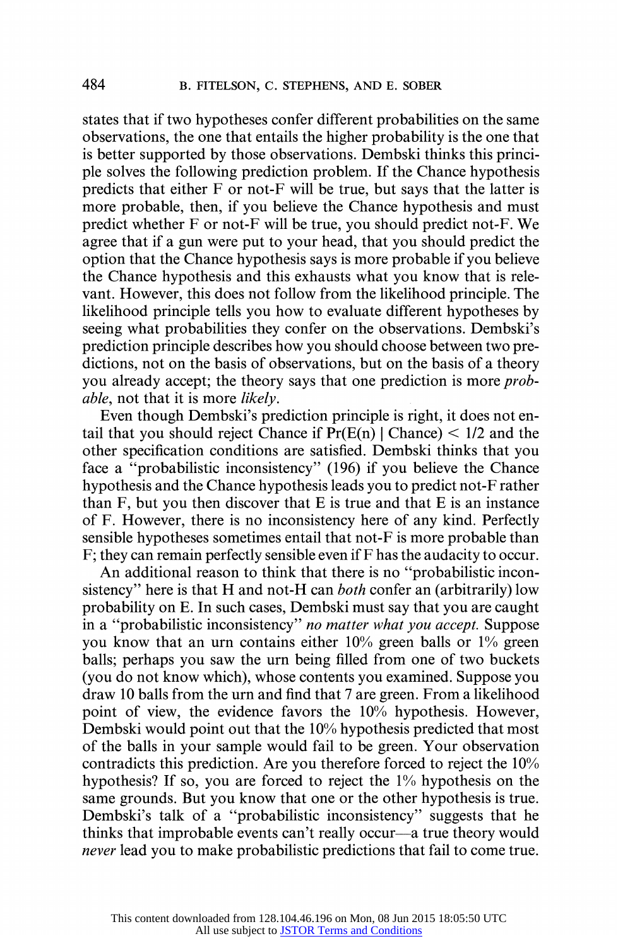**states that if two hypotheses confer different probabilities on the same observations, the one that entails the higher probability is the one that is better supported by those observations. Dembski thinks this principle solves the following prediction problem. If the Chance hypothesis predicts that either F or not-F will be true, but says that the latter is more probable, then, if you believe the Chance hypothesis and must predict whether F or not-F will be true, you should predict not-F. We agree that if a gun were put to your head, that you should predict the option that the Chance hypothesis says is more probable if you believe the Chance hypothesis and this exhausts what you know that is relevant. However, this does not follow from the likelihood principle. The likelihood principle tells you how to evaluate different hypotheses by seeing what probabilities they confer on the observations. Dembski's prediction principle describes how you should choose between two predictions, not on the basis of observations, but on the basis of a theory you already accept; the theory says that one prediction is more probable, not that it is more likely.** 

**Even though Dembski's prediction principle is right, it does not entail that you should reject Chance if**  $Pr(E(n) |$  **Chance)**  $\leq 1/2$  **and the other specification conditions are satisfied. Dembski thinks that you face a "probabilistic inconsistency" (196) if you believe the Chance hypothesis and the Chance hypothesis leads you to predict not-F rather than F, but you then discover that E is true and that E is an instance of F. However, there is no inconsistency here of any kind. Perfectly sensible hypotheses sometimes entail that not-F is more probable than F; they can remain perfectly sensible even if F has the audacity to occur.** 

**An additional reason to think that there is no "probabilistic inconsistency" here is that H and not-H can both confer an (arbitrarily) low probability on E. In such cases, Dembski must say that you are caught in a "probabilistic inconsistency" no matter what you accept. Suppose you know that an urn contains either 10% green balls or 1% green balls; perhaps you saw the urn being filled from one of two buckets (you do not know which), whose contents you examined. Suppose you draw 10 balls from the urn and find that 7 are green. From a likelihood point of view, the evidence favors the 10% hypothesis. However, Dembski would point out that the 10% hypothesis predicted that most of the balls in your sample would fail to be green. Your observation contradicts this prediction. Are you therefore forced to reject the 10% hypothesis? If so, you are forced to reject the 1% hypothesis on the same grounds. But you know that one or the other hypothesis is true. Dembski's talk of a "probabilistic inconsistency" suggests that he**  thinks that improbable events can't really occur-a true theory would **never lead you to make probabilistic predictions that fail to come true.**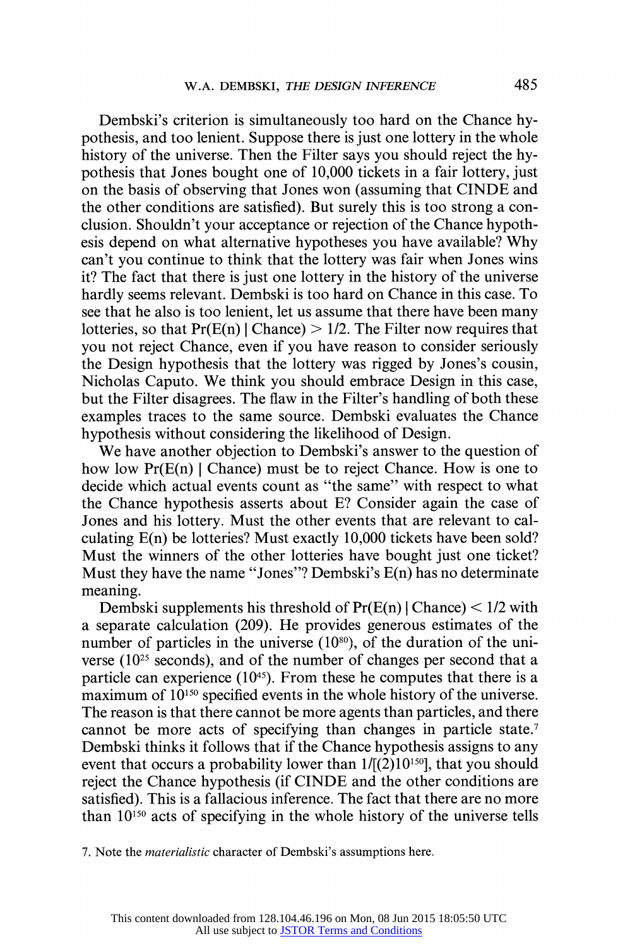**Dembski's criterion is simultaneously too hard on the Chance hypothesis, and too lenient. Suppose there is just one lottery in the whole history of the universe. Then the Filter says you should reject the hypothesis that Jones bought one of 10,000 tickets in a fair lottery, just on the basis of observing that Jones won (assuming that CINDE and the other conditions are satisfied). But surely this is too strong a conclusion. Shouldn't your acceptance or rejection of the Chance hypothesis depend on what alternative hypotheses you have available? Why can't you continue to think that the lottery was fair when Jones wins it? The fact that there is just one lottery in the history of the universe hardly seems relevant. Dembski is too hard on Chance in this case. To see that he also is too lenient, let us assume that there have been many lotteries, so that**  $Pr(E(n) | \text{Change}) > 1/2$ **. The Filter now requires that you not reject Chance, even if you have reason to consider seriously the Design hypothesis that the lottery was rigged by Jones's cousin, Nicholas Caputo. We think you should embrace Design in this case, but the Filter disagrees. The flaw in the Filter's handling of both these examples traces to the same source. Dembski evaluates the Chance hypothesis without considering the likelihood of Design.** 

**We have another objection to Dembski's answer to the question of how low Pr(E(n) I Chance) must be to reject Chance. How is one to decide which actual events count as "the same" with respect to what the Chance hypothesis asserts about E? Consider again the case of Jones and his lottery. Must the other events that are relevant to calculating E(n) be lotteries? Must exactly 10,000 tickets have been sold? Must the winners of the other lotteries have bought just one ticket? Must they have the name "Jones"? Dembski's E(n) has no determinate meaning.** 

**Dembski supplements his threshold of**  $Pr(E(n) | \text{Change}) < 1/2$  **with a separate calculation (209). He provides generous estimates of the**  number of particles in the universe (10<sup>80</sup>), of the duration of the uni**verse (1025 seconds), and of the number of changes per second that a particle can experience (1045) . From these he computes that there is a maximum of 10150 specified events in the whole history of the universe. The reason is that there cannot be more agents than particles, and there cannot be more acts of specifying than changes in particle state.7 Dembski thinks it follows that if the Chance hypothesis assigns to any event that occurs a probability lower than l/[(2)10150], that you should reject the Chance hypothesis (if CINDE and the other conditions are satisfied). This is a fallacious inference. The fact that there are no more than 10150 acts of specifying in the whole history of the universe tells** 

**7. Note the materialistic character of Dembski's assumptions here.**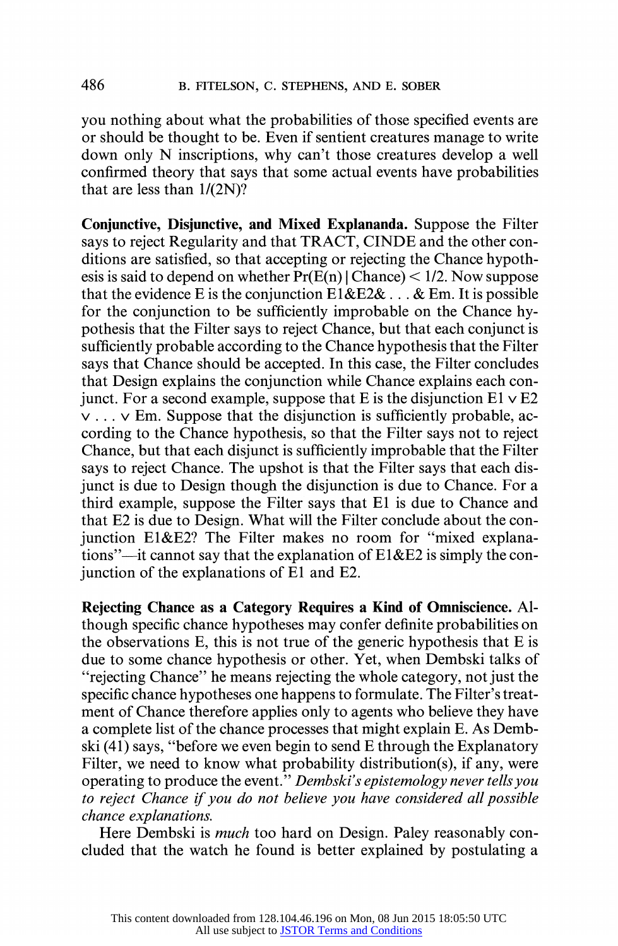**you nothing about what the probabilities of those specified events are or should be thought to be. Even if sentient creatures manage to write down only N inscriptions, why can't those creatures develop a well confirmed theory that says that some actual events have probabilities that are less than 1/(2N)?** 

**Conjunctive, Disjunctive, and Mixed Explananda. Suppose the Filter says to reject Regularity and that TRACT, CINDE and the other conditions are satisfied, so that accepting or rejecting the Chance hypothesis is said to depend on whether**  $Pr(E(n) | \text{Change})$  **< 1/2. Now suppose that the evidence E is the conjunction E1&E2& ... & Em. It is possible for the conjunction to be sufficiently improbable on the Chance hypothesis that the Filter says to reject Chance, but that each conjunct is sufficiently probable according to the Chance hypothesis that the Filter says that Chance should be accepted. In this case, the Filter concludes that Design explains the conjunction while Chance explains each conjunct.** For a second example, suppose that E is the disjunction  $E1 \vee E2$ **v ... v Em. Suppose that the disjunction is sufficiently probable, according to the Chance hypothesis, so that the Filter says not to reject Chance, but that each disjunct is sufficiently improbable that the Filter says to reject Chance. The upshot is that the Filter says that each disjunct is due to Design though the disjunction is due to Chance. For a third example, suppose the Filter says that El is due to Chance and that E2 is due to Design. What will the Filter conclude about the conjunction El&E2? The Filter makes no room for "mixed explana**tions"—it cannot say that the explanation of  $E1&E2$  is simply the con**junction of the explanations of El and E2.** 

**Rejecting Chance as a Category Requires a Kind of Omniscience. Although specific chance hypotheses may confer definite probabilities on the observations E, this is not true of the generic hypothesis that E is due to some chance hypothesis or other. Yet, when Dembski talks of "rejecting Chance" he means rejecting the whole category, not just the specific chance hypotheses one happens to formulate. The Filter's treatment of Chance therefore applies only to agents who believe they have a complete list of the chance processes that might explain E. As Dembski (41) says, "before we even begin to send E through the Explanatory Filter, we need to know what probability distribution(s), if any, were operating to produce the event." Dembski's epistemology never tells you to reject Chance if you do not believe you have considered all possible chance explanations.** 

**Here Dembski is much too hard on Design. Paley reasonably concluded that the watch he found is better explained by postulating a**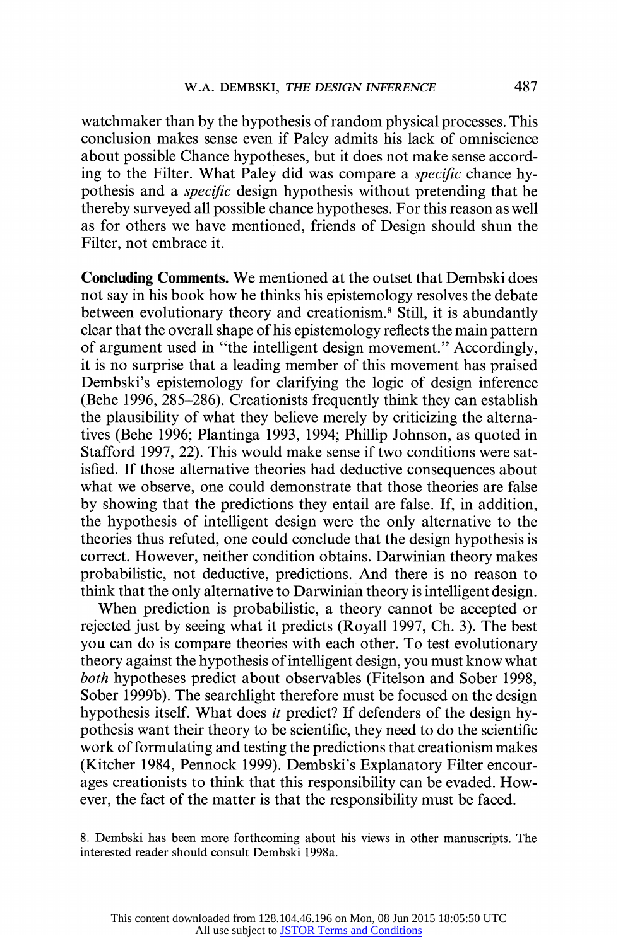**watchmaker than by the hypothesis of random physical processes. This conclusion makes sense even if Paley admits his lack of omniscience about possible Chance hypotheses, but it does not make sense according to the Filter. What Paley did was compare a specific chance hypothesis and a specific design hypothesis without pretending that he thereby surveyed all possible chance hypotheses. For this reason as well as for others we have mentioned, friends of Design should shun the Filter, not embrace it.** 

**Concluding Comments. We mentioned at the outset that Dembski does not say in his book how he thinks his epistemology resolves the debate between evolutionary theory and creationism.8 Still, it is abundantly clear that the overall shape of his epistemology reflects the main pattern of argument used in "the intelligent design movement." Accordingly, it is no surprise that a leading member of this movement has praised Dembski's epistemology for clarifying the logic of design inference (Behe 1996, 285-286). Creationists frequently think they can establish the plausibility of what they believe merely by criticizing the alternatives (Behe 1996; Plantinga 1993, 1994; Phillip Johnson, as quoted in Stafford 1997, 22). This would make sense if two conditions were satisfied. If those alternative theories had deductive consequences about what we observe, one could demonstrate that those theories are false by showing that the predictions they entail are false. If, in addition, the hypothesis of intelligent design were the only alternative to the theories thus refuted, one could conclude that the design hypothesis is correct. However, neither condition obtains. Darwinian theory makes probabilistic, not deductive, predictions. And there is no reason to think that the only alternative to Darwinian theory is intelligent design.** 

**When prediction is probabilistic, a theory cannot be accepted or rejected just by seeing what it predicts (Royall 1997, Ch. 3). The best you can do is compare theories with each other. To test evolutionary theory against the hypothesis of intelligent design, you must know what both hypotheses predict about observables (Fitelson and Sober 1998, Sober 1999b). The searchlight therefore must be focused on the design hypothesis itself. What does it predict? If defenders of the design hypothesis want their theory to be scientific, they need to do the scientific work of formulating and testing the predictions that creationism makes (Kitcher 1984, Pennock 1999). Dembski's Explanatory Filter encourages creationists to think that this responsibility can be evaded. However, the fact of the matter is that the responsibility must be faced.** 

**8. Dembski has been more forthcoming about his views in other manuscripts. The interested reader should consult Dembski 1998a.**